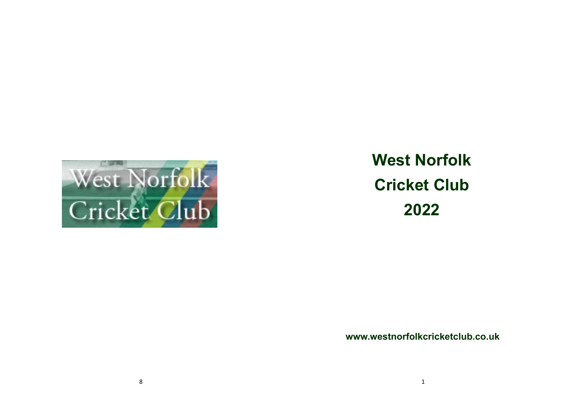

**West Norfolk Cricket Club 2022**

**www.westnorfolkcricketclub.co.uk**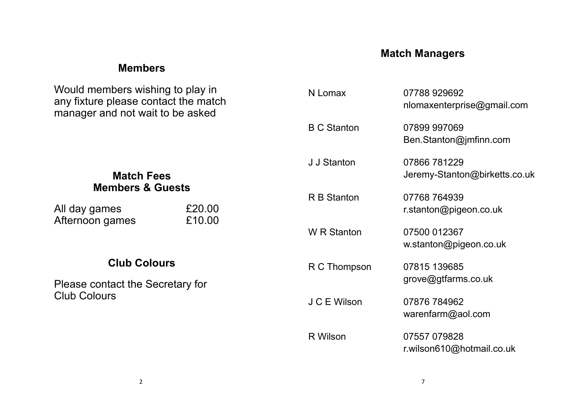### **Match Managers**

#### **Members**

Would members wishing to play in any fixture please contact the match manager and not wait to be asked

#### **Match Fees Members & Guests**

| All day games   | £20.00 |
|-----------------|--------|
| Afternoon games | £10.00 |

### **Club Colours**

Please contact the Secretary for Club Colours

| N Lomax            | 07788 929692<br>nlomaxenterprise@gmail.com    |
|--------------------|-----------------------------------------------|
| <b>B C Stanton</b> | 07899 997069<br>Ben.Stanton@jmfinn.com        |
| J J Stanton        | 07866 781229<br>Jeremy-Stanton@birketts.co.uk |
| <b>R B Stanton</b> | 07768 764939<br>r.stanton@pigeon.co.uk        |
| <b>W</b> R Stanton | 07500 012367<br>w.stanton@pigeon.co.uk        |
| R C Thompson       | 07815 139685<br>grove@gtfarms.co.uk           |
| J C E Wilson       | 07876 784962<br>warenfarm@aol.com             |
| R Wilson           | 07557 079828<br>r.wilson610@hotmail.co.uk     |

2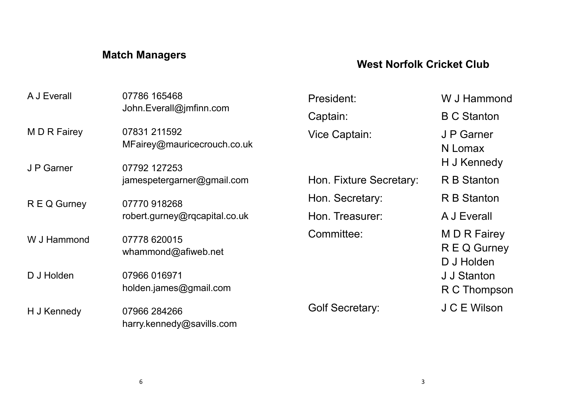# **Match Managers**

## **West Norfolk Cricket Club**

| A J Everall                | 07786 165468<br>John.Everall@jmfinn.com                     | President:              | W J Hammond                                |
|----------------------------|-------------------------------------------------------------|-------------------------|--------------------------------------------|
|                            |                                                             | Captain:                | <b>B C Stanton</b>                         |
| M D R Fairey<br>J P Garner | 07831 211592<br>MFairey@mauricecrouch.co.uk<br>07792 127253 | Vice Captain:           | J P Garner<br>N Lomax<br>H J Kennedy       |
|                            | jamespetergarner@gmail.com                                  | Hon. Fixture Secretary: | R B Stanton                                |
| R E Q Gurney               | 07770 918268                                                | Hon. Secretary:         | R B Stanton                                |
|                            | robert.gurney@rqcapital.co.uk                               | Hon. Treasurer:         | A J Everall                                |
| W J Hammond                | 07778 620015<br>whammond@afiweb.net                         | Committee:              | M D R Fairey<br>R E Q Gurney<br>D J Holden |
| D J Holden                 | 07966 016971<br>holden.james@gmail.com                      |                         | J J Stanton<br>R C Thompson                |
| H J Kennedy                | 07966 284266<br>harry.kennedy@savills.com                   | <b>Golf Secretary:</b>  | J C E Wilson                               |